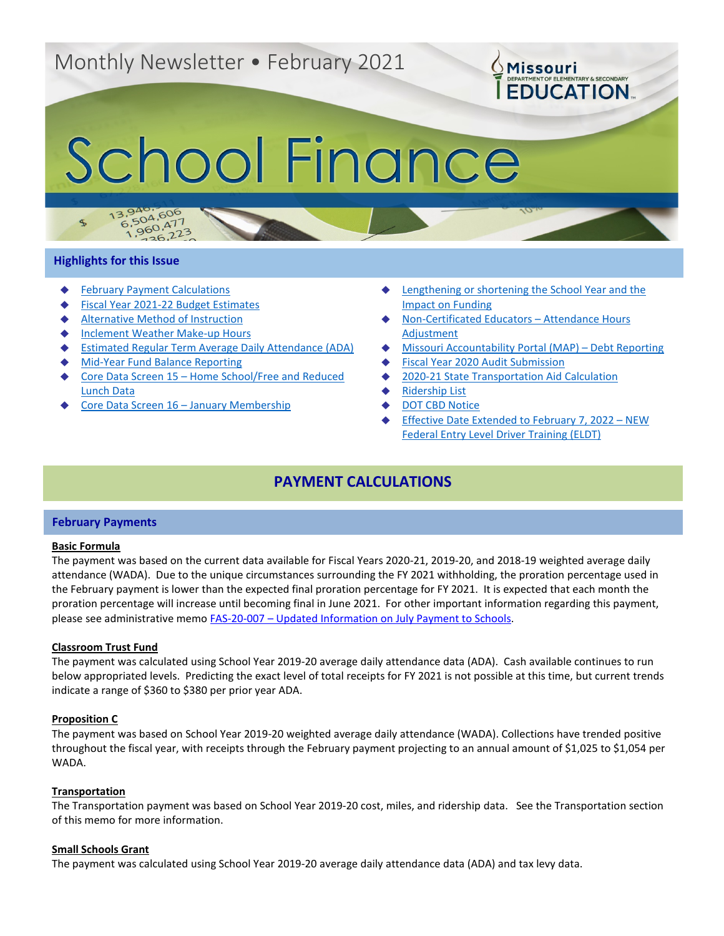# Monthly Newsletter • February 2021

# School Finance

# **Highlights for this Issue**

 $\mathcal{F}$ 

 $13.94$ 

**[February Payment Calculations](#page-0-0)** 

3.940.606<br>6.504.606

 $5,504,600$ <br>1,960,477

 $^{50}_{26}$ , 223

- **[Fiscal Year 2021-22 Budget Estimates](#page-1-0)**
- [Alternative Method of Instruction](#page-1-1)
- **[Inclement Weather Make-up Hours](#page-2-0)**
- **[Estimated Regular Term Average Daily Attendance \(ADA\)](#page-2-1)**
- **[Mid-Year Fund Balance Reporting](#page-3-0)**
- Core Data Screen 15 Home School/Free and Reduced [Lunch Data](#page-3-1)
- [Core Data Screen 16 –](#page-3-2) January Membership

Lengthening or shortening the School Year and the [Impact on Funding](#page-4-0)

**OMissouri** 

**EDUCATION** 

- [Non-Certificated Educators –](#page-4-1) Attendance Hours [Adjustment](#page-4-1)
- [Missouri Accountability Portal \(MAP\) –](#page-4-2) Debt Reporting
- **[Fiscal Year 2020 Audit Submission](#page-5-0)**
- [2020-21 State Transportation Aid Calculation](#page-5-1)
- **[Ridership List](#page-5-2)**
- [DOT CBD Notice](#page-5-3)
- **[Effective Date Extended to February 7, 2022 –](#page-5-4) NEW** [Federal Entry Level Driver Training \(ELDT\)](#page-5-4)

# **PAYMENT CALCULATIONS**

# <span id="page-0-0"></span>**February Payments**

# **Basic Formula**

The payment was based on the current data available for Fiscal Years 2020-21, 2019-20, and 2018-19 weighted average daily attendance (WADA). Due to the unique circumstances surrounding the FY 2021 withholding, the proration percentage used in the February payment is lower than the expected final proration percentage for FY 2021. It is expected that each month the proration percentage will increase until becoming final in June 2021. For other important information regarding this payment, please see administrative memo FAS-20-007 – [Updated Information on July Payment to Schools.](https://dese.mo.gov/updated-information-july-payment-schools)

# **Classroom Trust Fund**

The payment was calculated using School Year 2019-20 average daily attendance data (ADA). Cash available continues to run below appropriated levels. Predicting the exact level of total receipts for FY 2021 is not possible at this time, but current trends indicate a range of \$360 to \$380 per prior year ADA.

# **Proposition C**

The payment was based on School Year 2019-20 weighted average daily attendance (WADA). Collections have trended positive throughout the fiscal year, with receipts through the February payment projecting to an annual amount of \$1,025 to \$1,054 per WADA.

# **Transportation**

The Transportation payment was based on School Year 2019-20 cost, miles, and ridership data. See the Transportation section of this memo for more information.

# **Small Schools Grant**

The payment was calculated using School Year 2019-20 average daily attendance data (ADA) and tax levy data.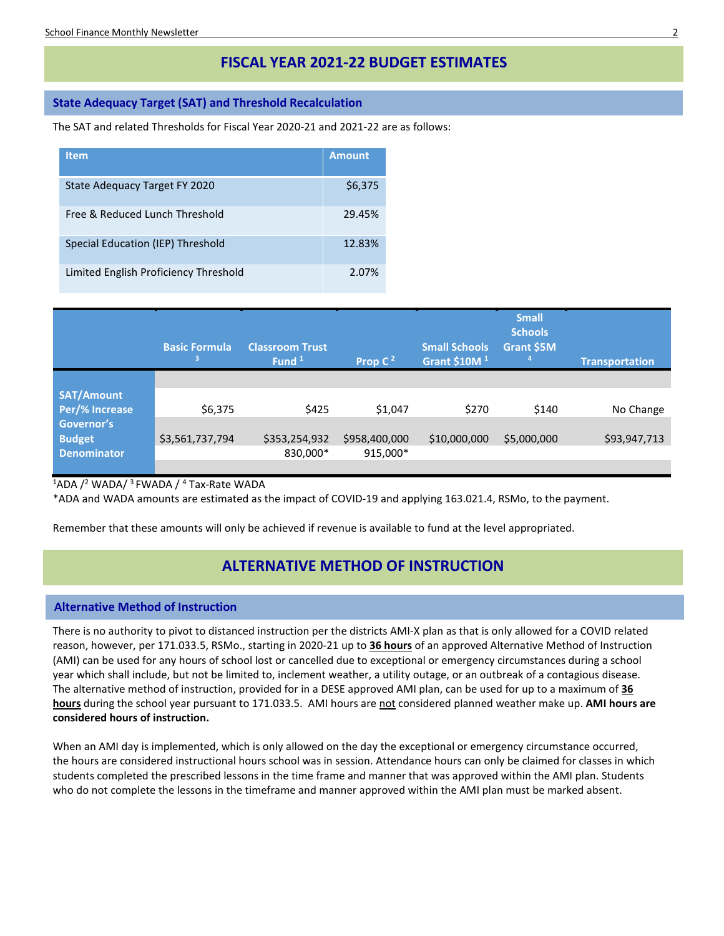# **FISCAL YEAR 2021-22 BUDGET ESTIMATES**

# <span id="page-1-0"></span>**State Adequacy Target (SAT) and Threshold Recalculation**

The SAT and related Thresholds for Fiscal Year 2020-21 and 2021-22 are as follows:

| <b>Item</b>                           | <b>Amount</b> |
|---------------------------------------|---------------|
| State Adequacy Target FY 2020         | \$6,375       |
| Free & Reduced Lunch Threshold        | 29.45%        |
| Special Education (IEP) Threshold     | 12.83%        |
| Limited English Proficiency Threshold | 2.07%         |

|                    | <b>Basic Formula</b><br>3 | <b>Classroom Trust</b><br>Fund <sup>1</sup> | Prop $C^2$    | <b>Small Schools</b><br>Grant \$10M <sup>1</sup> | <b>Small</b><br><b>Schools</b><br>Grant \$5M<br>$\mathbf{a}$ | <b>Transportation</b> |
|--------------------|---------------------------|---------------------------------------------|---------------|--------------------------------------------------|--------------------------------------------------------------|-----------------------|
|                    |                           |                                             |               |                                                  |                                                              |                       |
| <b>SAT/Amount</b>  |                           |                                             |               |                                                  |                                                              |                       |
| Per/% Increase     | \$6,375                   | \$425                                       | \$1,047       | \$270                                            | \$140                                                        | No Change             |
| Governor's         |                           |                                             |               |                                                  |                                                              |                       |
| <b>Budget</b>      | \$3,561,737,794           | \$353,254,932                               | \$958,400,000 | \$10,000,000                                     | \$5,000,000                                                  | \$93,947,713          |
| <b>Denominator</b> |                           | 830,000*                                    | 915,000*      |                                                  |                                                              |                       |
|                    |                           |                                             |               |                                                  |                                                              |                       |

 $^1$ ADA / $^2$  WADA/  $^3$  FWADA /  $^4$  Tax-Rate WADA

\*ADA and WADA amounts are estimated as the impact of COVID-19 and applying 163.021.4, RSMo, to the payment.

Remember that these amounts will only be achieved if revenue is available to fund at the level appropriated.

# **ALTERNATIVE METHOD OF INSTRUCTION**

# <span id="page-1-1"></span>**Alternative Method of Instruction**

There is no authority to pivot to distanced instruction per the districts AMI-X plan as that is only allowed for a COVID related reason, however, per 171.033.5, RSMo., starting in 2020-21 up to **36 hours** of an approved Alternative Method of Instruction (AMI) can be used for any hours of school lost or cancelled due to exceptional or emergency circumstances during a school year which shall include, but not be limited to, inclement weather, a utility outage, or an outbreak of a contagious disease. The alternative method of instruction, provided for in a DESE approved AMI plan, can be used for up to a maximum of **36 hours** during the school year pursuant to 171.033.5. AMI hours are not considered planned weather make up. **AMI hours are considered hours of instruction.**

When an AMI day is implemented, which is only allowed on the day the exceptional or emergency circumstance occurred, the hours are considered instructional hours school was in session. Attendance hours can only be claimed for classes in which students completed the prescribed lessons in the time frame and manner that was approved within the AMI plan. Students who do not complete the lessons in the timeframe and manner approved within the AMI plan must be marked absent.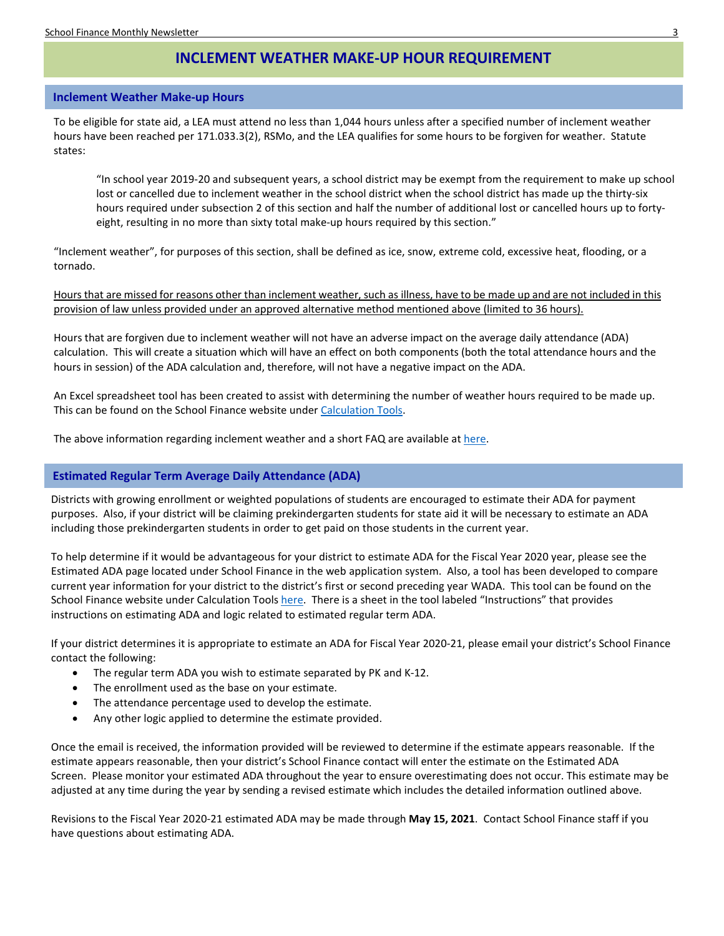# **INCLEMENT WEATHER MAKE-UP HOUR REQUIREMENT**

### <span id="page-2-0"></span>**Inclement Weather Make-up Hours**

To be eligible for state aid, a LEA must attend no less than 1,044 hours unless after a specified number of inclement weather hours have been reached per 171.033.3(2), RSMo, and the LEA qualifies for some hours to be forgiven for weather. Statute states:

"In school year 2019-20 and subsequent years, a school district may be exempt from the requirement to make up school lost or cancelled due to inclement weather in the school district when the school district has made up the thirty-six hours required under subsection 2 of this section and half the number of additional lost or cancelled hours up to fortyeight, resulting in no more than sixty total make-up hours required by this section."

"Inclement weather", for purposes of this section, shall be defined as ice, snow, extreme cold, excessive heat, flooding, or a tornado.

Hours that are missed for reasons other than inclement weather, such as illness, have to be made up and are not included in this provision of law unless provided under an approved alternative method mentioned above (limited to 36 hours).

Hours that are forgiven due to inclement weather will not have an adverse impact on the average daily attendance (ADA) calculation. This will create a situation which will have an effect on both components (both the total attendance hours and the hours in session) of the ADA calculation and, therefore, will not have a negative impact on the ADA.

An Excel spreadsheet tool has been created to assist with determining the number of weather hours required to be made up. This can be found on the School Finance website unde[r Calculation Tools.](https://dese.mo.gov/financial-admin-services/school-finance/calculation-tools)

The above information regarding inclement weather and a short FAQ are available a[t here.](https://dese.mo.gov/financial-admin-services/school-finance/finance-topics-procedures)

# <span id="page-2-1"></span>**Estimated Regular Term Average Daily Attendance (ADA)**

Districts with growing enrollment or weighted populations of students are encouraged to estimate their ADA for payment purposes. Also, if your district will be claiming prekindergarten students for state aid it will be necessary to estimate an ADA including those prekindergarten students in order to get paid on those students in the current year.

To help determine if it would be advantageous for your district to estimate ADA for the Fiscal Year 2020 year, please see the Estimated ADA page located under School Finance in the web application system. Also, a tool has been developed to compare current year information for your district to the district's first or second preceding year WADA. This tool can be found on the School Finance website under Calculation Tools [here.](https://dese.mo.gov/financial-admin-services/school-finance/calculation-tools) There is a sheet in the tool labeled "Instructions" that provides instructions on estimating ADA and logic related to estimated regular term ADA.

If your district determines it is appropriate to estimate an ADA for Fiscal Year 2020-21, please email your district's School Finance contact the following:

- The regular term ADA you wish to estimate separated by PK and K-12.
- The enrollment used as the base on your estimate.
- The attendance percentage used to develop the estimate.
- Any other logic applied to determine the estimate provided.

Once the email is received, the information provided will be reviewed to determine if the estimate appears reasonable. If the estimate appears reasonable, then your district's School Finance contact will enter the estimate on the Estimated ADA Screen. Please monitor your estimated ADA throughout the year to ensure overestimating does not occur. This estimate may be adjusted at any time during the year by sending a revised estimate which includes the detailed information outlined above.

Revisions to the Fiscal Year 2020-21 estimated ADA may be made through **May 15, 2021**. Contact School Finance staff if you have questions about estimating ADA.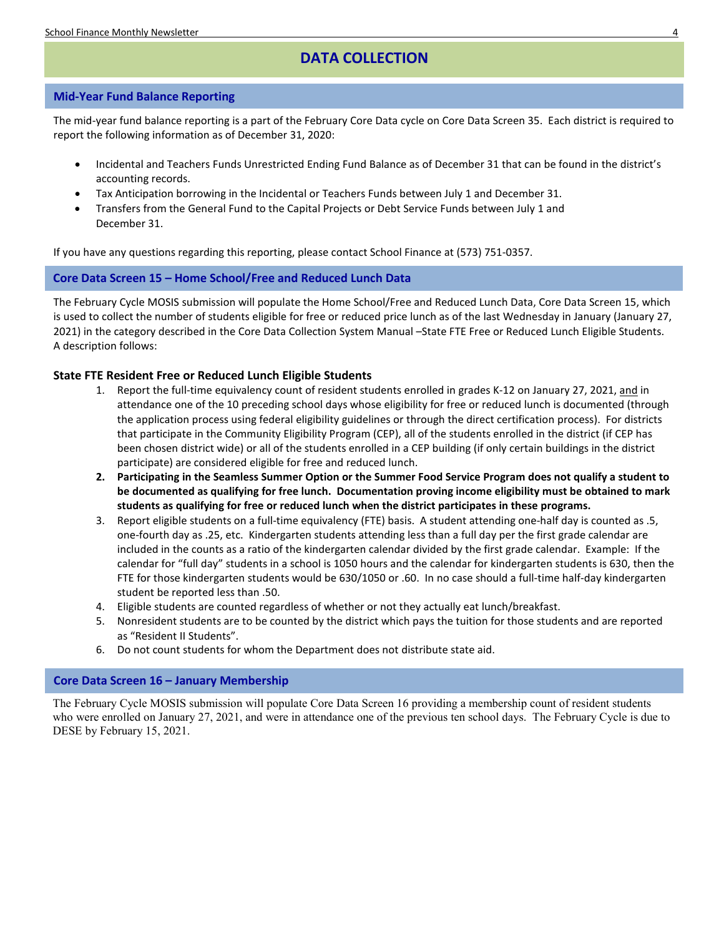# **DATA COLLECTION**

# <span id="page-3-0"></span>**Mid-Year Fund Balance Reporting**

The mid-year fund balance reporting is a part of the February Core Data cycle on Core Data Screen 35. Each district is required to report the following information as of December 31, 2020:

- Incidental and Teachers Funds Unrestricted Ending Fund Balance as of December 31 that can be found in the district's accounting records.
- Tax Anticipation borrowing in the Incidental or Teachers Funds between July 1 and December 31.
- Transfers from the General Fund to the Capital Projects or Debt Service Funds between July 1 and December 31.

If you have any questions regarding this reporting, please contact School Finance at (573) 751-0357.

# <span id="page-3-1"></span>**Core Data Screen 15 – Home School/Free and Reduced Lunch Data**

The February Cycle MOSIS submission will populate the Home School/Free and Reduced Lunch Data, Core Data Screen 15, which is used to collect the number of students eligible for free or reduced price lunch as of the last Wednesday in January (January 27, 2021) in the category described in the Core Data Collection System Manual –State FTE Free or Reduced Lunch Eligible Students. A description follows:

# **State FTE Resident Free or Reduced Lunch Eligible Students**

- 1. Report the full-time equivalency count of resident students enrolled in grades K-12 on January 27, 2021, and in attendance one of the 10 preceding school days whose eligibility for free or reduced lunch is documented (through the application process using federal eligibility guidelines or through the direct certification process). For districts that participate in the Community Eligibility Program (CEP), all of the students enrolled in the district (if CEP has been chosen district wide) or all of the students enrolled in a CEP building (if only certain buildings in the district participate) are considered eligible for free and reduced lunch.
- **2. Participating in the Seamless Summer Option or the Summer Food Service Program does not qualify a student to be documented as qualifying for free lunch. Documentation proving income eligibility must be obtained to mark students as qualifying for free or reduced lunch when the district participates in these programs.**
- 3. Report eligible students on a full-time equivalency (FTE) basis. A student attending one-half day is counted as .5, one-fourth day as .25, etc. Kindergarten students attending less than a full day per the first grade calendar are included in the counts as a ratio of the kindergarten calendar divided by the first grade calendar. Example: If the calendar for "full day" students in a school is 1050 hours and the calendar for kindergarten students is 630, then the FTE for those kindergarten students would be 630/1050 or .60. In no case should a full-time half-day kindergarten student be reported less than .50.
- 4. Eligible students are counted regardless of whether or not they actually eat lunch/breakfast.
- 5. Nonresident students are to be counted by the district which pays the tuition for those students and are reported as "Resident II Students".
- 6. Do not count students for whom the Department does not distribute state aid.

# <span id="page-3-2"></span>**Core Data Screen 16 – January Membership**

The February Cycle MOSIS submission will populate Core Data Screen 16 providing a membership count of resident students who were enrolled on January 27, 2021, and were in attendance one of the previous ten school days. The February Cycle is due to DESE by February 15, 2021.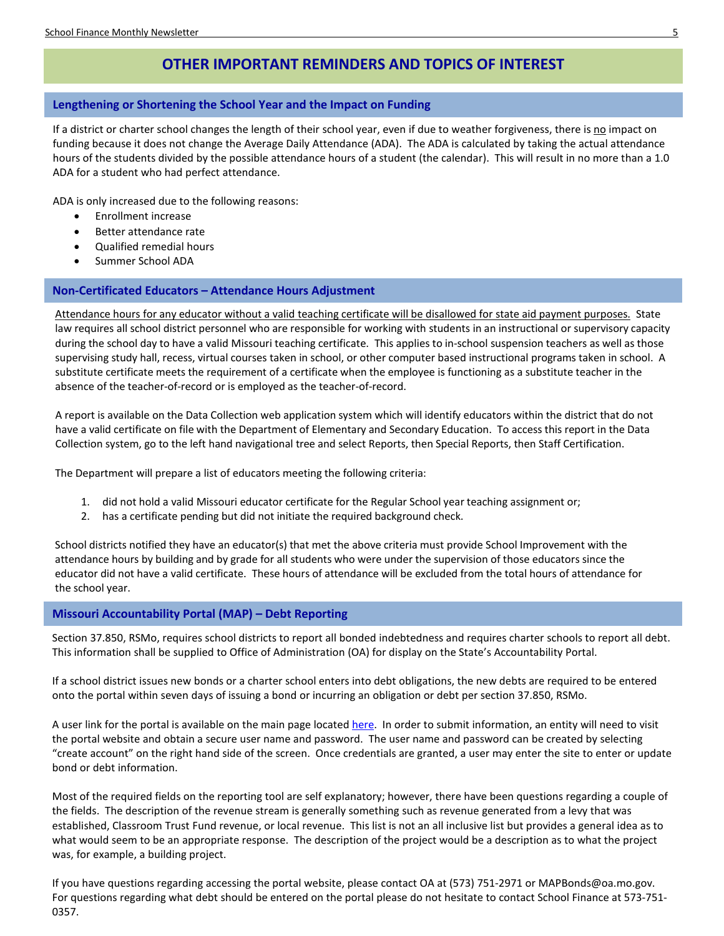# **OTHER IMPORTANT REMINDERS AND TOPICS OF INTEREST**

# <span id="page-4-0"></span>**Lengthening or Shortening the School Year and the Impact on Funding**

If a district or charter school changes the length of their school year, even if due to weather forgiveness, there is no impact on funding because it does not change the Average Daily Attendance (ADA). The ADA is calculated by taking the actual attendance hours of the students divided by the possible attendance hours of a student (the calendar). This will result in no more than a 1.0 ADA for a student who had perfect attendance.

ADA is only increased due to the following reasons:

- Enrollment increase
- Better attendance rate
- Qualified remedial hours
- Summer School ADA

# <span id="page-4-1"></span>**Non-Certificated Educators – Attendance Hours Adjustment**

Attendance hours for any educator without a valid teaching certificate will be disallowed for state aid payment purposes. State law requires all school district personnel who are responsible for working with students in an instructional or supervisory capacity during the school day to have a valid Missouri teaching certificate. This applies to in-school suspension teachers as well as those supervising study hall, recess, virtual courses taken in school, or other computer based instructional programs taken in school. A substitute certificate meets the requirement of a certificate when the employee is functioning as a substitute teacher in the absence of the teacher-of-record or is employed as the teacher-of-record.

A report is available on the Data Collection web application system which will identify educators within the district that do not have a valid certificate on file with the Department of Elementary and Secondary Education. To access this report in the Data Collection system, go to the left hand navigational tree and select Reports, then Special Reports, then Staff Certification.

The Department will prepare a list of educators meeting the following criteria:

- 1. did not hold a valid Missouri educator certificate for the Regular School year teaching assignment or;
- 2. has a certificate pending but did not initiate the required background check.

School districts notified they have an educator(s) that met the above criteria must provide School Improvement with the attendance hours by building and by grade for all students who were under the supervision of those educators since the educator did not have a valid certificate. These hours of attendance will be excluded from the total hours of attendance for the school year.

# <span id="page-4-2"></span>**Missouri Accountability Portal (MAP) – Debt Reporting**

Section 37.850, RSMo, requires school districts to report all bonded indebtedness and requires charter schools to report all debt. This information shall be supplied to Office of Administration (OA) for display on the State's Accountability Portal.

If a school district issues new bonds or a charter school enters into debt obligations, the new debts are required to be entered onto the portal within seven days of issuing a bond or incurring an obligation or debt per section 37.850, RSMo.

A user link for the portal is available on the main page located [here.](http://mapyourtaxes.mo.gov/MAP/Bonds/HomePage.aspx) In order to submit information, an entity will need to visit the portal website and obtain a secure user name and password. The user name and password can be created by selecting "create account" on the right hand side of the screen. Once credentials are granted, a user may enter the site to enter or update bond or debt information.

Most of the required fields on the reporting tool are self explanatory; however, there have been questions regarding a couple of the fields. The description of the revenue stream is generally something such as revenue generated from a levy that was established, Classroom Trust Fund revenue, or local revenue. This list is not an all inclusive list but provides a general idea as to what would seem to be an appropriate response. The description of the project would be a description as to what the project was, for example, a building project.

If you have questions regarding accessing the portal website, please contact OA at (573) 751-2971 or MAPBonds@oa.mo.gov. For questions regarding what debt should be entered on the portal please do not hesitate to contact School Finance at 573-751- 0357.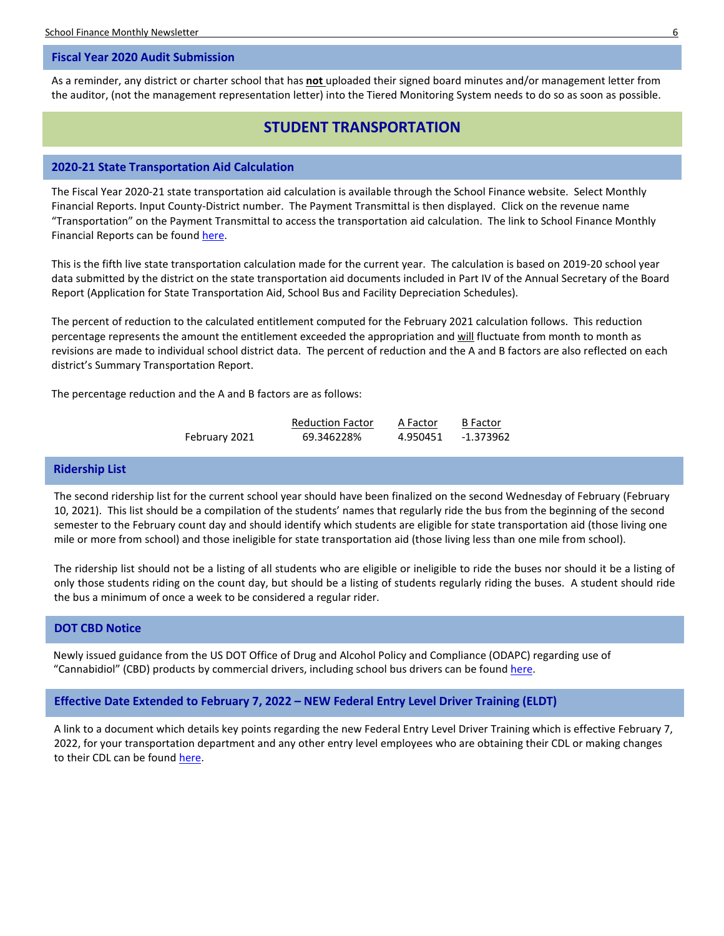### <span id="page-5-0"></span>**Fiscal Year 2020 Audit Submission**

As a reminder, any district or charter school that has **not** uploaded their signed board minutes and/or management letter from the auditor, (not the management representation letter) into the Tiered Monitoring System needs to do so as soon as possible.

# **STUDENT TRANSPORTATION**

### <span id="page-5-1"></span>**2020-21 State Transportation Aid Calculation**

The Fiscal Year 2020-21 state transportation aid calculation is available through the School Finance website. Select Monthly Financial Reports. Input County-District number. The Payment Transmittal is then displayed. Click on the revenue name "Transportation" on the Payment Transmittal to access the transportation aid calculation. The link to School Finance Monthly Financial Reports can be found [here.](http://dese.mo.gov/financial-admin-services/school-finance/financial-reports)

This is the fifth live state transportation calculation made for the current year. The calculation is based on 2019-20 school year data submitted by the district on the state transportation aid documents included in Part IV of the Annual Secretary of the Board Report (Application for State Transportation Aid, School Bus and Facility Depreciation Schedules).

The percent of reduction to the calculated entitlement computed for the February 2021 calculation follows. This reduction percentage represents the amount the entitlement exceeded the appropriation and will fluctuate from month to month as revisions are made to individual school district data. The percent of reduction and the A and B factors are also reflected on each district's Summary Transportation Report.

The percentage reduction and the A and B factors are as follows:

|               | <b>Reduction Factor</b> | A Factor | <b>B</b> Factor |
|---------------|-------------------------|----------|-----------------|
| February 2021 | 69.346228%              | 4.950451 | -1.373962       |

# <span id="page-5-2"></span>**Ridership List**

The second ridership list for the current school year should have been finalized on the second Wednesday of February (February 10, 2021). This list should be a compilation of the students' names that regularly ride the bus from the beginning of the second semester to the February count day and should identify which students are eligible for state transportation aid (those living one mile or more from school) and those ineligible for state transportation aid (those living less than one mile from school).

The ridership list should not be a listing of all students who are eligible or ineligible to ride the buses nor should it be a listing of only those students riding on the count day, but should be a listing of students regularly riding the buses. A student should ride the bus a minimum of once a week to be considered a regular rider.

# <span id="page-5-3"></span>**DOT CBD Notice**

Newly issued guidance from the US DOT Office of Drug and Alcohol Policy and Compliance (ODAPC) regarding use of "Cannabidiol" (CBD) products by commercial drivers, including school bus drivers can be found [here.](https://content.govdelivery.com/attachments/USDOT/2020/02/14/file_attachments/1379861/ODAPC%20CBD%20Notice.pdf)

<span id="page-5-4"></span>**Effective Date Extended to February 7, 2022 – NEW Federal Entry Level Driver Training (ELDT)**

A link to a document which details key points regarding the new Federal Entry Level Driver Training which is effective February 7, 2022, for your transportation department and any other entry level employees who are obtaining their CDL or making changes to their CDL can be foun[d here.](https://dese.mo.gov/sites/default/files/sf-EntryLevelDriverTraining-2019.pdf)